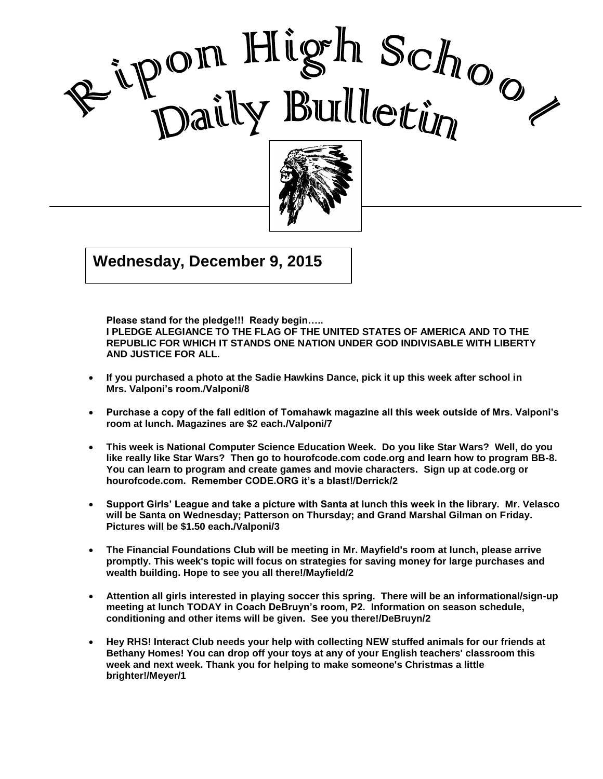



 $\overline{015}$  $\frac{1}{2}$ **Wednesday, December 9, 2015**

 **Please stand for the pledge!!! Ready begin….. I PLEDGE ALEGIANCE TO THE FLAG OF THE UNITED STATES OF AMERICA AND TO THE REPUBLIC FOR WHICH IT STANDS ONE NATION UNDER GOD INDIVISABLE WITH LIBERTY AND JUSTICE FOR ALL.**

I

- **If you purchased a photo at the Sadie Hawkins Dance, pick it up this week after school in Mrs. Valponi's room./Valponi/8**
- **Purchase a copy of the fall edition of Tomahawk magazine all this week outside of Mrs. Valponi's room at lunch. Magazines are \$2 each./Valponi/7**
- **This week is National Computer Science Education Week. Do you like Star Wars? Well, do you like really like Star Wars? Then go to hourofcode.com code.org and learn how to program BB-8. You can learn to program and create games and movie characters. Sign up at code.org or hourofcode.com. Remember CODE.ORG it's a blast!/Derrick/2**
- **Support Girls' League and take a picture with Santa at lunch this week in the library. Mr. Velasco will be Santa on Wednesday; Patterson on Thursday; and Grand Marshal Gilman on Friday. Pictures will be \$1.50 each./Valponi/3**
- **The Financial Foundations Club will be meeting in Mr. Mayfield's room at lunch, please arrive promptly. This week's topic will focus on strategies for saving money for large purchases and wealth building. Hope to see you all there!/Mayfield/2**
- **Attention all girls interested in playing soccer this spring. There will be an informational/sign-up meeting at lunch TODAY in Coach DeBruyn's room, P2. Information on season schedule, conditioning and other items will be given. See you there!/DeBruyn/2**
- **Hey RHS! Interact Club needs your help with collecting NEW stuffed animals for our friends at Bethany Homes! You can drop off your toys at any of your English teachers' classroom this week and next week. Thank you for helping to make someone's Christmas a little brighter!/Meyer/1**